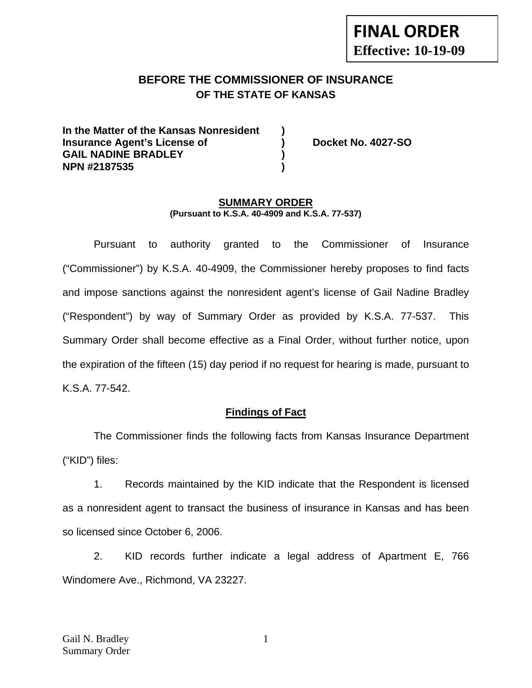# **FINAL ORDER Effective: 10-19-09**

## **BEFORE THE COMMISSIONER OF INSURANCE OF THE STATE OF KANSAS**

**In the Matter of the Kansas Nonresident ) Insurance Agent's License of ) Docket No. 4027-SO**  GAIL NADINE BRADLEY **and a ) NPN #2187535 )** 

#### **SUMMARY ORDER (Pursuant to K.S.A. 40-4909 and K.S.A. 77-537)**

 Pursuant to authority granted to the Commissioner of Insurance ("Commissioner") by K.S.A. 40-4909, the Commissioner hereby proposes to find facts and impose sanctions against the nonresident agent's license of Gail Nadine Bradley ("Respondent") by way of Summary Order as provided by K.S.A. 77-537. This Summary Order shall become effective as a Final Order, without further notice, upon the expiration of the fifteen (15) day period if no request for hearing is made, pursuant to K.S.A. 77-542.

## **Findings of Fact**

 The Commissioner finds the following facts from Kansas Insurance Department ("KID") files:

 1. Records maintained by the KID indicate that the Respondent is licensed as a nonresident agent to transact the business of insurance in Kansas and has been so licensed since October 6, 2006.

 2. KID records further indicate a legal address of Apartment E, 766 Windomere Ave., Richmond, VA 23227.

1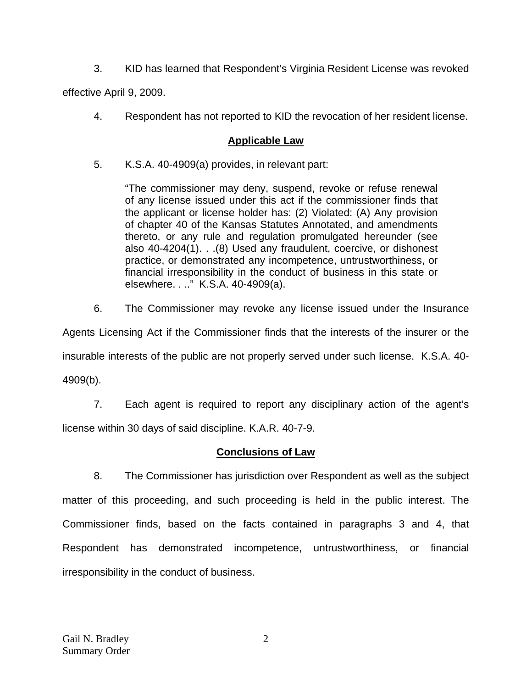3. KID has learned that Respondent's Virginia Resident License was revoked

effective April 9, 2009.

4. Respondent has not reported to KID the revocation of her resident license.

## **Applicable Law**

5. K.S.A. 40-4909(a) provides, in relevant part:

"The commissioner may deny, suspend, revoke or refuse renewal of any license issued under this act if the commissioner finds that the applicant or license holder has: (2) Violated: (A) Any provision of chapter 40 of the Kansas Statutes Annotated, and amendments thereto, or any rule and regulation promulgated hereunder (see also 40-4204(1). . .(8) Used any fraudulent, coercive, or dishonest practice, or demonstrated any incompetence, untrustworthiness, or financial irresponsibility in the conduct of business in this state or elsewhere. . .." K.S.A. 40-4909(a).

6. The Commissioner may revoke any license issued under the Insurance

Agents Licensing Act if the Commissioner finds that the interests of the insurer or the insurable interests of the public are not properly served under such license. K.S.A. 40- 4909(b).

 7. Each agent is required to report any disciplinary action of the agent's license within 30 days of said discipline. K.A.R. 40-7-9.

## **Conclusions of Law**

 8. The Commissioner has jurisdiction over Respondent as well as the subject matter of this proceeding, and such proceeding is held in the public interest. The Commissioner finds, based on the facts contained in paragraphs 3 and 4, that Respondent has demonstrated incompetence, untrustworthiness, or financial irresponsibility in the conduct of business.

2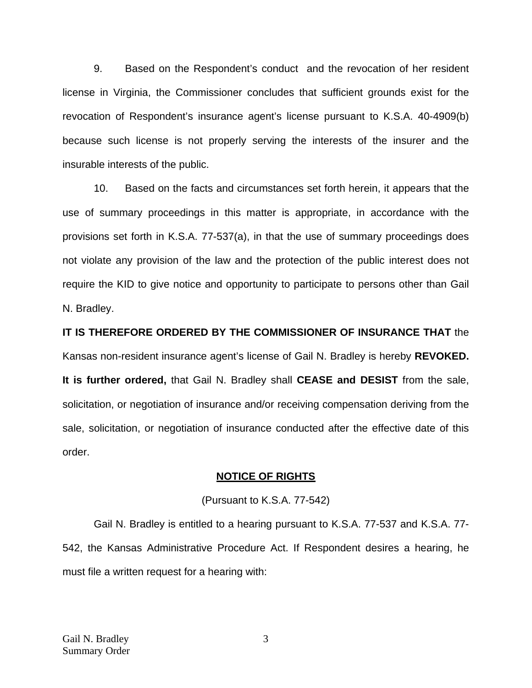9. Based on the Respondent's conduct and the revocation of her resident license in Virginia, the Commissioner concludes that sufficient grounds exist for the revocation of Respondent's insurance agent's license pursuant to K.S.A. 40-4909(b) because such license is not properly serving the interests of the insurer and the insurable interests of the public.

 10. Based on the facts and circumstances set forth herein, it appears that the use of summary proceedings in this matter is appropriate, in accordance with the provisions set forth in K.S.A. 77-537(a), in that the use of summary proceedings does not violate any provision of the law and the protection of the public interest does not require the KID to give notice and opportunity to participate to persons other than Gail N. Bradley.

**IT IS THEREFORE ORDERED BY THE COMMISSIONER OF INSURANCE THAT** the Kansas non-resident insurance agent's license of Gail N. Bradley is hereby **REVOKED. It is further ordered,** that Gail N. Bradley shall **CEASE and DESIST** from the sale, solicitation, or negotiation of insurance and/or receiving compensation deriving from the sale, solicitation, or negotiation of insurance conducted after the effective date of this order.

#### **NOTICE OF RIGHTS**

#### (Pursuant to K.S.A. 77-542)

Gail N. Bradley is entitled to a hearing pursuant to K.S.A. 77-537 and K.S.A. 77- 542, the Kansas Administrative Procedure Act. If Respondent desires a hearing, he must file a written request for a hearing with:

3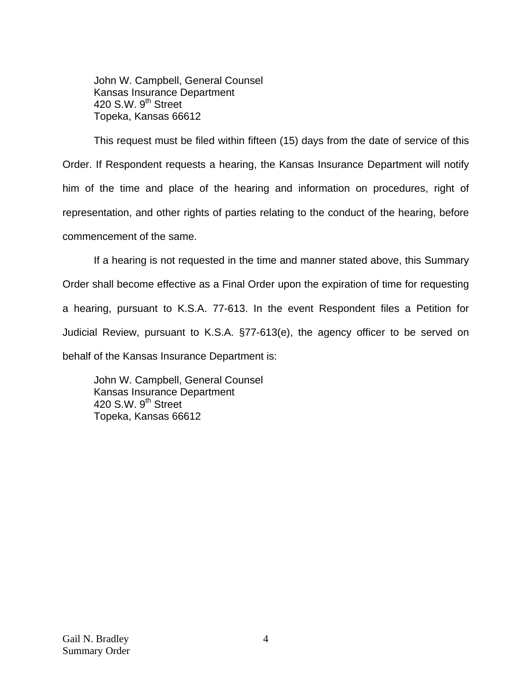John W. Campbell, General Counsel Kansas Insurance Department 420 S.W.  $9<sup>th</sup>$  Street Topeka, Kansas 66612

This request must be filed within fifteen (15) days from the date of service of this Order. If Respondent requests a hearing, the Kansas Insurance Department will notify him of the time and place of the hearing and information on procedures, right of representation, and other rights of parties relating to the conduct of the hearing, before commencement of the same.

If a hearing is not requested in the time and manner stated above, this Summary Order shall become effective as a Final Order upon the expiration of time for requesting a hearing, pursuant to K.S.A. 77-613. In the event Respondent files a Petition for Judicial Review, pursuant to K.S.A. §77-613(e), the agency officer to be served on behalf of the Kansas Insurance Department is:

 John W. Campbell, General Counsel Kansas Insurance Department 420 S.W. 9<sup>th</sup> Street Topeka, Kansas 66612